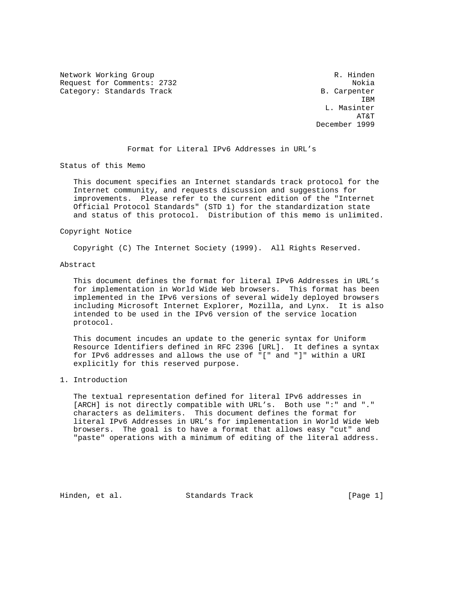Network Working Group and the control of the control of the R. Hinden Request for Comments: 2732 Nokia Category: Standards Track B. Carpenter

**IBM**  L. Masinter AT&T December 1999

### Format for Literal IPv6 Addresses in URL's

Status of this Memo

 This document specifies an Internet standards track protocol for the Internet community, and requests discussion and suggestions for improvements. Please refer to the current edition of the "Internet Official Protocol Standards" (STD 1) for the standardization state and status of this protocol. Distribution of this memo is unlimited.

## Copyright Notice

Copyright (C) The Internet Society (1999). All Rights Reserved.

#### Abstract

 This document defines the format for literal IPv6 Addresses in URL's for implementation in World Wide Web browsers. This format has been implemented in the IPv6 versions of several widely deployed browsers including Microsoft Internet Explorer, Mozilla, and Lynx. It is also intended to be used in the IPv6 version of the service location protocol.

 This document incudes an update to the generic syntax for Uniform Resource Identifiers defined in RFC 2396 [URL]. It defines a syntax for IPv6 addresses and allows the use of "[" and "]" within a URI explicitly for this reserved purpose.

# 1. Introduction

 The textual representation defined for literal IPv6 addresses in [ARCH] is not directly compatible with URL's. Both use ":" and "." characters as delimiters. This document defines the format for literal IPv6 Addresses in URL's for implementation in World Wide Web browsers. The goal is to have a format that allows easy "cut" and "paste" operations with a minimum of editing of the literal address.

Hinden, et al. Standards Track [Page 1]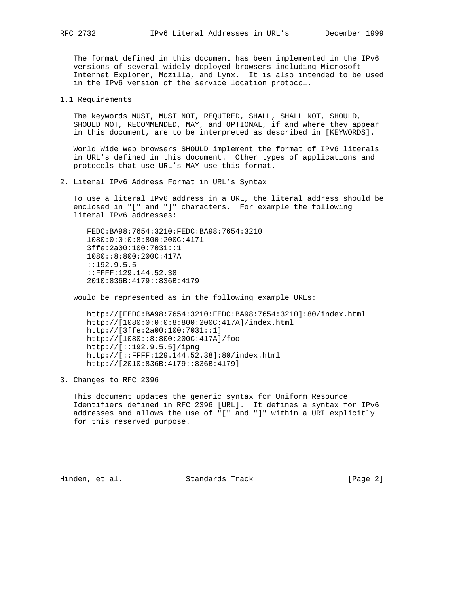The format defined in this document has been implemented in the IPv6 versions of several widely deployed browsers including Microsoft Internet Explorer, Mozilla, and Lynx. It is also intended to be used in the IPv6 version of the service location protocol.

1.1 Requirements

 The keywords MUST, MUST NOT, REQUIRED, SHALL, SHALL NOT, SHOULD, SHOULD NOT, RECOMMENDED, MAY, and OPTIONAL, if and where they appear in this document, are to be interpreted as described in [KEYWORDS].

 World Wide Web browsers SHOULD implement the format of IPv6 literals in URL's defined in this document. Other types of applications and protocols that use URL's MAY use this format.

2. Literal IPv6 Address Format in URL's Syntax

 To use a literal IPv6 address in a URL, the literal address should be enclosed in "[" and "]" characters. For example the following literal IPv6 addresses:

 FEDC:BA98:7654:3210:FEDC:BA98:7654:3210 1080:0:0:0:8:800:200C:4171 3ffe:2a00:100:7031::1 1080::8:800:200C:417A ::192.9.5.5 ::FFFF:129.144.52.38 2010:836B:4179::836B:4179

would be represented as in the following example URLs:

 http://[FEDC:BA98:7654:3210:FEDC:BA98:7654:3210]:80/index.html http://[1080:0:0:0:8:800:200C:417A]/index.html http://[3ffe:2a00:100:7031::1] http://[1080::8:800:200C:417A]/foo http://[::192.9.5.5]/ipng http://[::FFFF:129.144.52.38]:80/index.html http://[2010:836B:4179::836B:4179]

3. Changes to RFC 2396

 This document updates the generic syntax for Uniform Resource Identifiers defined in RFC 2396 [URL]. It defines a syntax for IPv6 addresses and allows the use of "[" and "]" within a URI explicitly for this reserved purpose.

Hinden, et al. Standards Track [Page 2]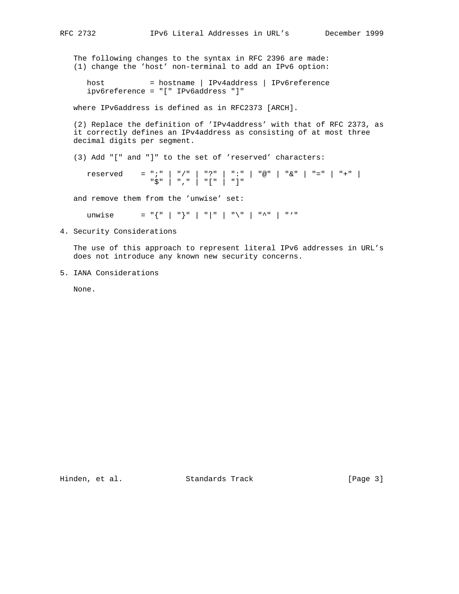The following changes to the syntax in RFC 2396 are made: (1) change the 'host' non-terminal to add an IPv6 option:

host = hostname | IPv4address | IPv6reference ipv6reference = "[" IPv6address "]"

where IPv6address is defined as in RFC2373 [ARCH].

 (2) Replace the definition of 'IPv4address' with that of RFC 2373, as it correctly defines an IPv4address as consisting of at most three decimal digits per segment.

(3) Add "[" and "]" to the set of 'reserved' characters:

 reserved = ";" | "/" | "?" | ":" | "@" | "&" | "=" | "+" | "\$" | "," | "[" | "]"

and remove them from the 'unwise' set:

unwise  $= "{ " | " | " | " | " | " | " | "$ 

4. Security Considerations

 The use of this approach to represent literal IPv6 addresses in URL's does not introduce any known new security concerns.

5. IANA Considerations

None.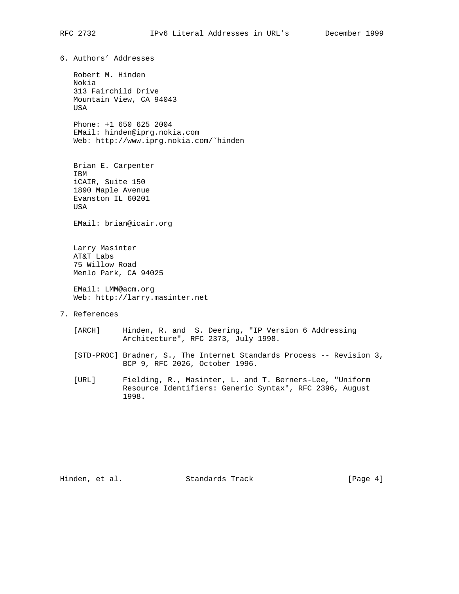6. Authors' Addresses

 Robert M. Hinden Nokia 313 Fairchild Drive Mountain View, CA 94043 USA

 Phone: +1 650 625 2004 EMail: hinden@iprg.nokia.com Web: http://www.iprg.nokia.com/˜hinden

 Brian E. Carpenter IBM iCAIR, Suite 150 1890 Maple Avenue Evanston IL 60201 USA

EMail: brian@icair.org

 Larry Masinter AT&T Labs 75 Willow Road Menlo Park, CA 94025

 EMail: LMM@acm.org Web: http://larry.masinter.net

- 7. References
	- [ARCH] Hinden, R. and S. Deering, "IP Version 6 Addressing Architecture", RFC 2373, July 1998.
	- [STD-PROC] Bradner, S., The Internet Standards Process -- Revision 3, BCP 9, RFC 2026, October 1996.
	- [URL] Fielding, R., Masinter, L. and T. Berners-Lee, "Uniform Resource Identifiers: Generic Syntax", RFC 2396, August 1998.

Hinden, et al. Standards Track [Page 4]